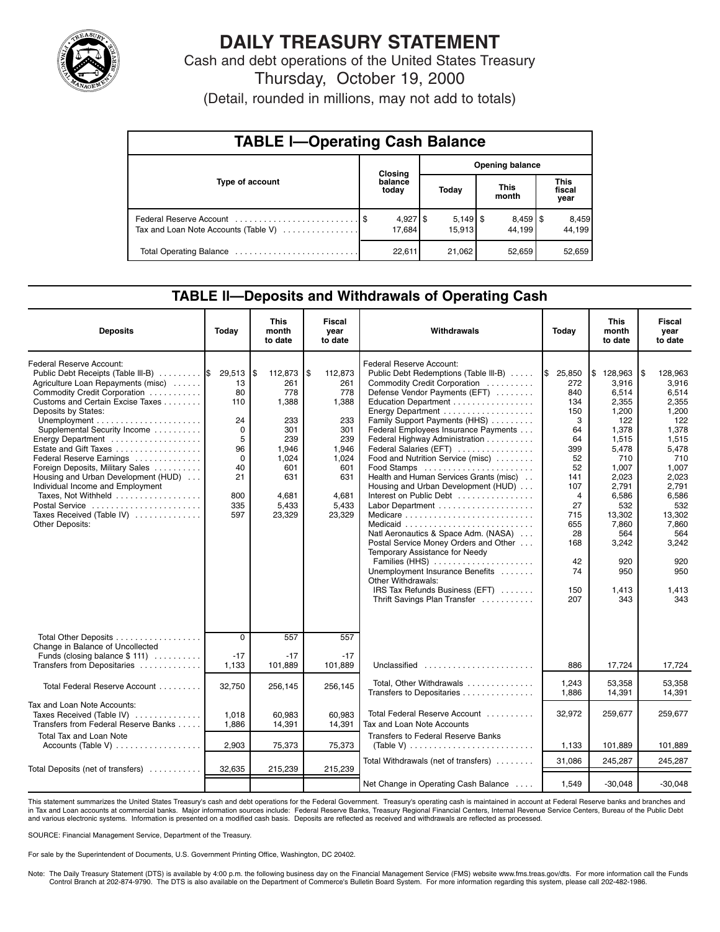

# **DAILY TREASURY STATEMENT**

Cash and debt operations of the United States Treasury Thursday, October 19, 2000

(Detail, rounded in millions, may not add to totals)

| <b>TABLE I-Operating Cash Balance</b> |  |                                 |                        |        |  |                        |  |                               |  |  |
|---------------------------------------|--|---------------------------------|------------------------|--------|--|------------------------|--|-------------------------------|--|--|
|                                       |  | <b>Closing</b>                  | <b>Opening balance</b> |        |  |                        |  |                               |  |  |
| Type of account                       |  | balance<br>today                |                        | Today  |  | <b>This</b><br>month   |  | <b>This</b><br>fiscal<br>year |  |  |
| Tax and Loan Note Accounts (Table V)  |  | $4,927$ $\frac{1}{3}$<br>17.684 |                        | 15.913 |  | $8,459$ \ \$<br>44.199 |  | 8,459<br>44.199               |  |  |
|                                       |  | 22,611                          |                        | 21,062 |  | 52,659                 |  | 52,659                        |  |  |

### **TABLE ll—Deposits and Withdrawals of Operating Cash**

| <b>Deposits</b>                                                                                                                                                                                                                                                                                                                                                                                                                                                                                                   | Today                                                                                        | <b>This</b><br>month<br>to date                                                                                        | Fiscal<br>vear<br>to date                                                                                             | Withdrawals                                                                                                                                                                                                                                                                                                                                                                                                                                                                                                                                                                                                                                                                                                                                            | Today                                                                                                                                                  | <b>This</b><br>month<br>to date                                                                                                                                                                    | Fiscal<br>vear<br>to date                                                                                                                                                                                |
|-------------------------------------------------------------------------------------------------------------------------------------------------------------------------------------------------------------------------------------------------------------------------------------------------------------------------------------------------------------------------------------------------------------------------------------------------------------------------------------------------------------------|----------------------------------------------------------------------------------------------|------------------------------------------------------------------------------------------------------------------------|-----------------------------------------------------------------------------------------------------------------------|--------------------------------------------------------------------------------------------------------------------------------------------------------------------------------------------------------------------------------------------------------------------------------------------------------------------------------------------------------------------------------------------------------------------------------------------------------------------------------------------------------------------------------------------------------------------------------------------------------------------------------------------------------------------------------------------------------------------------------------------------------|--------------------------------------------------------------------------------------------------------------------------------------------------------|----------------------------------------------------------------------------------------------------------------------------------------------------------------------------------------------------|----------------------------------------------------------------------------------------------------------------------------------------------------------------------------------------------------------|
| Federal Reserve Account:<br>Public Debt Receipts (Table III-B)<br>Agriculture Loan Repayments (misc)<br>Commodity Credit Corporation<br>Customs and Certain Excise Taxes<br>Deposits by States:<br>Supplemental Security Income<br>Energy Department<br>Estate and Gift Taxes<br>Federal Reserve Earnings<br>Foreign Deposits, Military Sales<br>Housing and Urban Development (HUD)<br>Individual Income and Employment<br>Taxes, Not Withheld<br>Postal Service<br>Taxes Received (Table IV)<br>Other Deposits: | 29,513<br>13<br>80<br>110<br>24<br>$\Omega$<br>5<br>96<br>0<br>40<br>21<br>800<br>335<br>597 | ۱\$<br>112,873<br>261<br>778<br>1,388<br>233<br>301<br>239<br>1.946<br>1,024<br>601<br>631<br>4,681<br>5,433<br>23,329 | \$<br>112,873<br>261<br>778<br>1,388<br>233<br>301<br>239<br>1.946<br>1,024<br>601<br>631<br>4,681<br>5,433<br>23,329 | Federal Reserve Account:<br>Public Debt Redemptions (Table III-B)<br>Commodity Credit Corporation<br>Defense Vendor Payments (EFT)<br>Education Department<br>Energy Department<br>Family Support Payments (HHS)<br>Federal Employees Insurance Payments<br>Federal Highway Administration<br>Federal Salaries (EFT)<br>Food and Nutrition Service (misc)<br>Food Stamps<br>Health and Human Services Grants (misc).<br>Housing and Urban Development (HUD)<br>Interest on Public Debt<br>Natl Aeronautics & Space Adm. (NASA)<br>Postal Service Money Orders and Other<br>Temporary Assistance for Needy<br>Families (HHS)<br>Unemployment Insurance Benefits<br>Other Withdrawals:<br>IRS Tax Refunds Business (EFT)<br>Thrift Savings Plan Transfer | \$25,850<br>272<br>840<br>134<br>150<br>3<br>64<br>64<br>399<br>52<br>52<br>141<br>107<br>4<br>27<br>715<br>655<br>28<br>168<br>42<br>74<br>150<br>207 | \$128,963<br>3.916<br>6.514<br>2,355<br>1,200<br>122<br>1.378<br>1.515<br>5.478<br>710<br>1.007<br>2.023<br>2,791<br>6,586<br>532<br>13,302<br>7,860<br>564<br>3,242<br>920<br>950<br>1.413<br>343 | 128,963<br>l \$<br>3,916<br>6,514<br>2,355<br>1,200<br>122<br>1.378<br>1,515<br>5.478<br>710<br>1.007<br>2.023<br>2,791<br>6,586<br>532<br>13,302<br>7,860<br>564<br>3,242<br>920<br>950<br>1,413<br>343 |
| Total Other Deposits<br>Change in Balance of Uncollected<br>Funds (closing balance $$ 111$ )<br>Transfers from Depositaries                                                                                                                                                                                                                                                                                                                                                                                       | $\overline{0}$<br>$-17$<br>1,133                                                             | 557<br>$-17$<br>101,889                                                                                                | 557<br>$-17$<br>101,889                                                                                               | Unclassified                                                                                                                                                                                                                                                                                                                                                                                                                                                                                                                                                                                                                                                                                                                                           | 886                                                                                                                                                    | 17,724                                                                                                                                                                                             | 17,724                                                                                                                                                                                                   |
| Total Federal Reserve Account                                                                                                                                                                                                                                                                                                                                                                                                                                                                                     | 32,750                                                                                       | 256,145                                                                                                                | 256,145                                                                                                               | Total, Other Withdrawals<br>Transfers to Depositaries                                                                                                                                                                                                                                                                                                                                                                                                                                                                                                                                                                                                                                                                                                  | 1,243<br>1,886                                                                                                                                         | 53,358<br>14,391                                                                                                                                                                                   | 53,358<br>14,391                                                                                                                                                                                         |
| Tax and Loan Note Accounts:<br>Taxes Received (Table IV)<br>Transfers from Federal Reserve Banks                                                                                                                                                                                                                                                                                                                                                                                                                  | 1,018<br>1,886                                                                               | 60.983<br>14,391                                                                                                       | 60,983<br>14,391                                                                                                      | Total Federal Reserve Account<br>Tax and Loan Note Accounts                                                                                                                                                                                                                                                                                                                                                                                                                                                                                                                                                                                                                                                                                            | 32,972                                                                                                                                                 | 259,677                                                                                                                                                                                            | 259,677                                                                                                                                                                                                  |
| <b>Total Tax and Loan Note</b><br>Accounts (Table V)                                                                                                                                                                                                                                                                                                                                                                                                                                                              | 2,903                                                                                        | 75,373                                                                                                                 | 75,373                                                                                                                | <b>Transfers to Federal Reserve Banks</b><br>(Table V) $\ldots \ldots \ldots \ldots \ldots \ldots \ldots \ldots$                                                                                                                                                                                                                                                                                                                                                                                                                                                                                                                                                                                                                                       | 1,133                                                                                                                                                  | 101,889                                                                                                                                                                                            | 101,889                                                                                                                                                                                                  |
| Total Deposits (net of transfers)                                                                                                                                                                                                                                                                                                                                                                                                                                                                                 | 32,635                                                                                       | 215,239                                                                                                                | 215,239                                                                                                               | Total Withdrawals (net of transfers)                                                                                                                                                                                                                                                                                                                                                                                                                                                                                                                                                                                                                                                                                                                   | 31.086                                                                                                                                                 | 245,287                                                                                                                                                                                            | 245,287                                                                                                                                                                                                  |
|                                                                                                                                                                                                                                                                                                                                                                                                                                                                                                                   |                                                                                              |                                                                                                                        |                                                                                                                       | Net Change in Operating Cash Balance                                                                                                                                                                                                                                                                                                                                                                                                                                                                                                                                                                                                                                                                                                                   | 1,549                                                                                                                                                  | $-30,048$                                                                                                                                                                                          | $-30.048$                                                                                                                                                                                                |

This statement summarizes the United States Treasury's cash and debt operations for the Federal Government. Treasury's operating cash is maintained in account at Federal Reserve banks and branches and in Tax and Loan accounts at commercial banks. Major information sources include: Federal Reserve Banks, Treasury Regional Financial Centers, Internal Revenue Service Centers, Bureau of the Public Debt and various electronic systems. Information is presented on a modified cash basis. Deposits are reflected as received and withdrawals are reflected as processed.

SOURCE: Financial Management Service, Department of the Treasury.

For sale by the Superintendent of Documents, U.S. Government Printing Office, Washington, DC 20402.

Note: The Daily Treasury Statement (DTS) is available by 4:00 p.m. the following business day on the Financial Management Service (FMS) website www.fms.treas.gov/dts. For more information call the Funds Control Branch at 202-874-9790. The DTS is also available on the Department of Commerce's Bulletin Board System. For more information regarding this system, please call 202-482-1986.